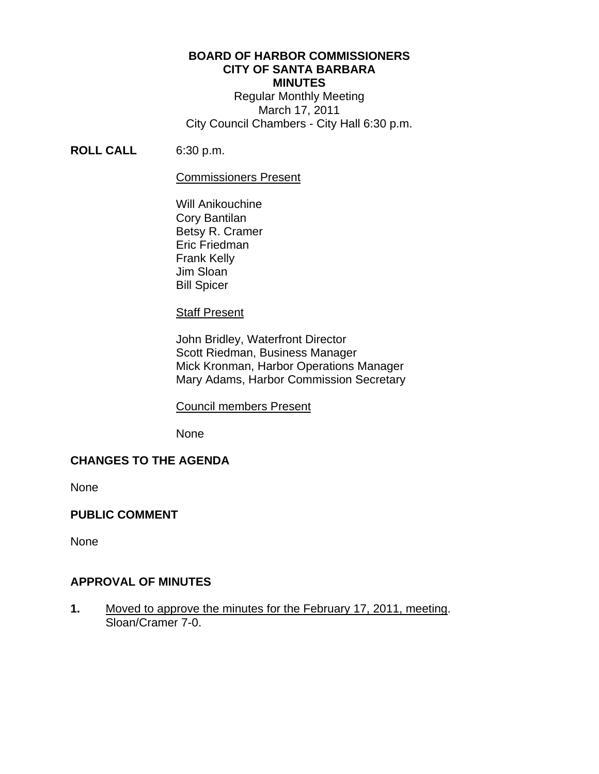#### **BOARD OF HARBOR COMMISSIONERS CITY OF SANTA BARBARA MINUTES**

Regular Monthly Meeting March 17, 2011 City Council Chambers - City Hall 6:30 p.m.

## **ROLL CALL** 6:30 p.m.

#### Commissioners Present

 Will Anikouchine Cory Bantilan Betsy R. Cramer Eric Friedman Frank Kelly Jim Sloan Bill Spicer

#### Staff Present

 John Bridley, Waterfront Director Scott Riedman, Business Manager Mick Kronman, Harbor Operations Manager Mary Adams, Harbor Commission Secretary

## Council members Present

None

## **CHANGES TO THE AGENDA**

None

## **PUBLIC COMMENT**

None

## **APPROVAL OF MINUTES**

**1.** Moved to approve the minutes for the February 17, 2011, meeting. Sloan/Cramer 7-0.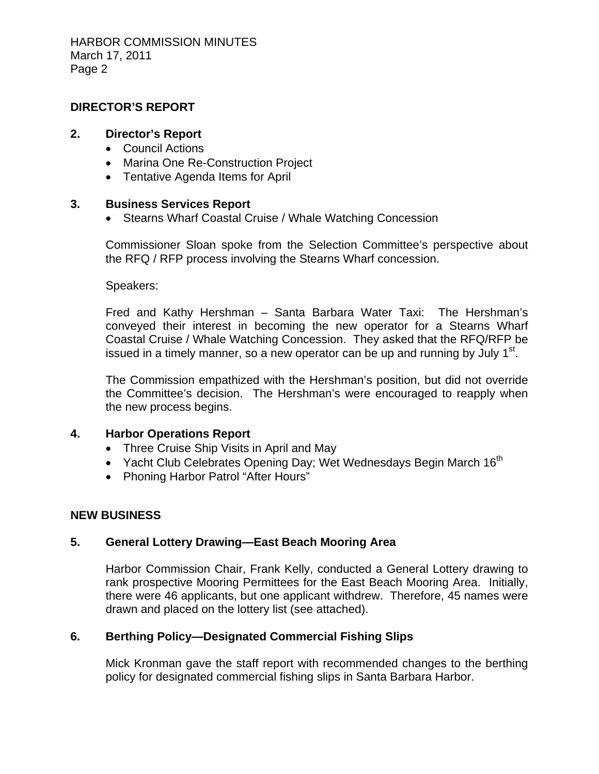HARBOR COMMISSION MINUTES March 17, 2011 Page 2

## **DIRECTOR'S REPORT**

#### **2. Director's Report**

- Council Actions
- Marina One Re-Construction Project
- Tentative Agenda Items for April

## **3. Business Services Report**

• Stearns Wharf Coastal Cruise / Whale Watching Concession

Commissioner Sloan spoke from the Selection Committee's perspective about the RFQ / RFP process involving the Stearns Wharf concession.

Speakers:

Fred and Kathy Hershman – Santa Barbara Water Taxi: The Hershman's conveyed their interest in becoming the new operator for a Stearns Wharf Coastal Cruise / Whale Watching Concession. They asked that the RFQ/RFP be issued in a timely manner, so a new operator can be up and running by July  $1<sup>st</sup>$ .

The Commission empathized with the Hershman's position, but did not override the Committee's decision. The Hershman's were encouraged to reapply when the new process begins.

## **4. Harbor Operations Report**

- Three Cruise Ship Visits in April and May
- Yacht Club Celebrates Opening Day; Wet Wednesdays Begin March  $16<sup>th</sup>$
- Phoning Harbor Patrol "After Hours"

## **NEW BUSINESS**

## **5. General Lottery Drawing—East Beach Mooring Area**

Harbor Commission Chair, Frank Kelly, conducted a General Lottery drawing to rank prospective Mooring Permittees for the East Beach Mooring Area. Initially, there were 46 applicants, but one applicant withdrew. Therefore, 45 names were drawn and placed on the lottery list (see attached).

# **6. Berthing Policy—Designated Commercial Fishing Slips**

Mick Kronman gave the staff report with recommended changes to the berthing policy for designated commercial fishing slips in Santa Barbara Harbor.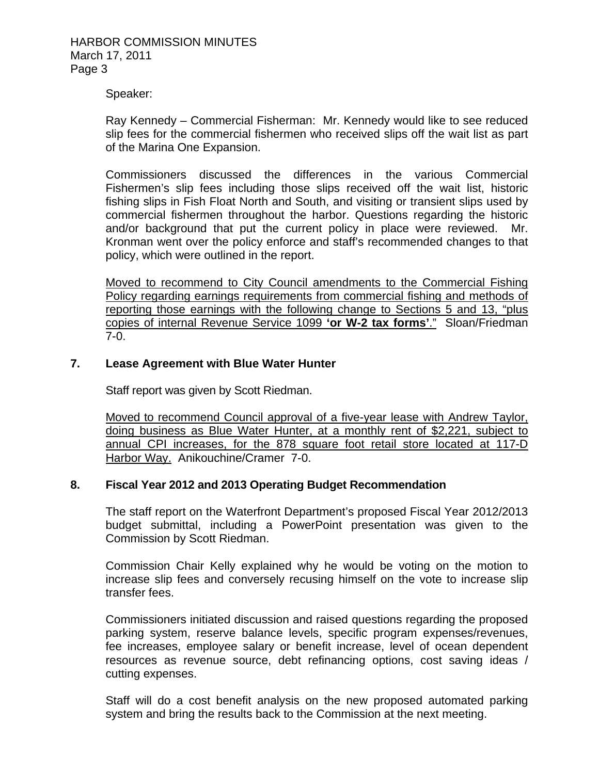#### Speaker:

Ray Kennedy – Commercial Fisherman: Mr. Kennedy would like to see reduced slip fees for the commercial fishermen who received slips off the wait list as part of the Marina One Expansion.

Commissioners discussed the differences in the various Commercial Fishermen's slip fees including those slips received off the wait list, historic fishing slips in Fish Float North and South, and visiting or transient slips used by commercial fishermen throughout the harbor. Questions regarding the historic and/or background that put the current policy in place were reviewed. Mr. Kronman went over the policy enforce and staff's recommended changes to that policy, which were outlined in the report.

Moved to recommend to City Council amendments to the Commercial Fishing Policy regarding earnings requirements from commercial fishing and methods of reporting those earnings with the following change to Sections 5 and 13, "plus copies of internal Revenue Service 1099 **'or W-2 tax forms'**." Sloan/Friedman 7-0.

#### **7. Lease Agreement with Blue Water Hunter**

Staff report was given by Scott Riedman.

Moved to recommend Council approval of a five-year lease with Andrew Taylor, doing business as Blue Water Hunter, at a monthly rent of \$2,221, subject to annual CPI increases, for the 878 square foot retail store located at 117-D Harbor Way. Anikouchine/Cramer 7-0.

#### **8. Fiscal Year 2012 and 2013 Operating Budget Recommendation**

The staff report on the Waterfront Department's proposed Fiscal Year 2012/2013 budget submittal, including a PowerPoint presentation was given to the Commission by Scott Riedman.

Commission Chair Kelly explained why he would be voting on the motion to increase slip fees and conversely recusing himself on the vote to increase slip transfer fees.

Commissioners initiated discussion and raised questions regarding the proposed parking system, reserve balance levels, specific program expenses/revenues, fee increases, employee salary or benefit increase, level of ocean dependent resources as revenue source, debt refinancing options, cost saving ideas / cutting expenses.

Staff will do a cost benefit analysis on the new proposed automated parking system and bring the results back to the Commission at the next meeting.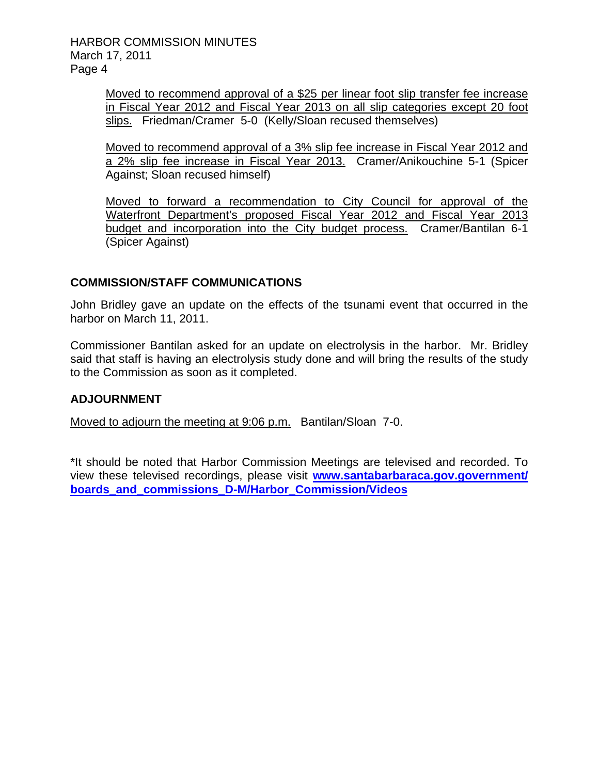HARBOR COMMISSION MINUTES March 17, 2011 Page 4

> Moved to recommend approval of a \$25 per linear foot slip transfer fee increase in Fiscal Year 2012 and Fiscal Year 2013 on all slip categories except 20 foot slips. Friedman/Cramer 5-0 (Kelly/Sloan recused themselves)

> Moved to recommend approval of a 3% slip fee increase in Fiscal Year 2012 and a 2% slip fee increase in Fiscal Year 2013. Cramer/Anikouchine 5-1 (Spicer Against; Sloan recused himself)

> Moved to forward a recommendation to City Council for approval of the Waterfront Department's proposed Fiscal Year 2012 and Fiscal Year 2013 budget and incorporation into the City budget process. Cramer/Bantilan 6-1 (Spicer Against)

# **COMMISSION/STAFF COMMUNICATIONS**

John Bridley gave an update on the effects of the tsunami event that occurred in the harbor on March 11, 2011.

Commissioner Bantilan asked for an update on electrolysis in the harbor. Mr. Bridley said that staff is having an electrolysis study done and will bring the results of the study to the Commission as soon as it completed.

## **ADJOURNMENT**

Moved to adjourn the meeting at 9:06 p.m. Bantilan/Sloan 7-0.

\*It should be noted that Harbor Commission Meetings are televised and recorded. To view these televised recordings, please visit **[www.santabarbaraca.gov.government/](http://www.santabarbaraca.gov.government/) boards\_and\_commissions\_D-M/Harbor\_Commission/Videos**